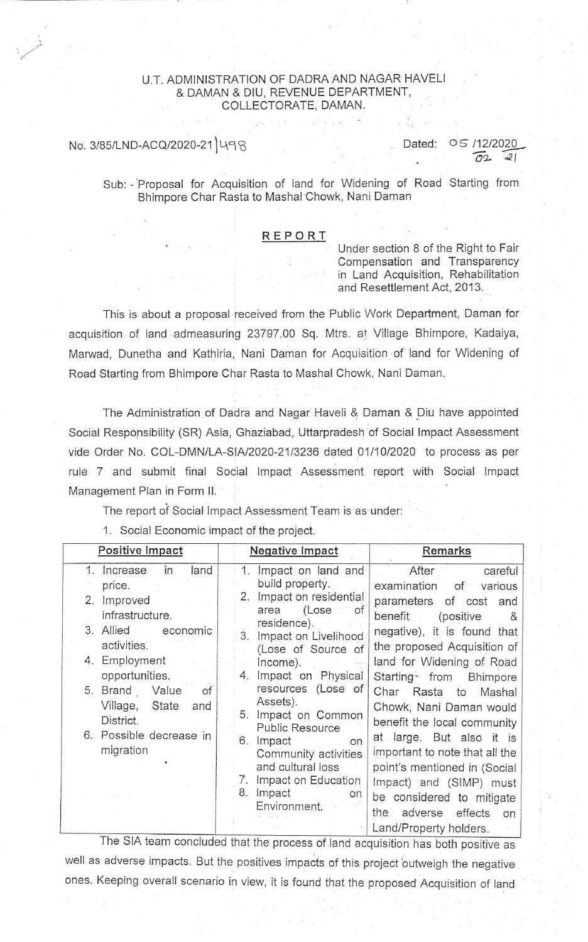### U.T. ADMINISTRATION OF DADRA AND NAGAR HAVELI & DAMAN & DIU, REVENUE DEPARTMENT, COLLECTORATE, DAMAN.

# No. 3/85/LND-ACQ/2020-21 498

Dated: 05 /12/2020  $\sqrt{22}$   $\approx$  1

Sub: - Proposal for Acquisition of land for Widening of Road Starting from Bhimpore Char Rasta to Mashal Chowk, Nani Daman

#### REPORT

Under section 8 of the Right to Fair Compensation and Transparency in Land Acquisition, Rehabilitation and Resettlement Act, 2013.

This is about a proposal received from the Public Work Department, Daman for acquisition of land admeasuring 23797.00 Sq. Mtrs. al Village Bhimpore, Kadaiya, Manrvad, Dunetha and Kathiria, Nani Daman for Acquisition 'of land for Widening of Road Starting from Bhimpore Char Rasta to Mashal Chowk, Nani Daman.

The Administration of Dadra and Nagar Haveli & Daman & Diu have appointed Social Responsibility (SR) Asia, Ghaziabad, Uttarpradesh of Social lmpact Assessment vide Order No. COL-DMN/LA-S|A/2020-21/3236 dated 0111012020 to process as per rule 7 and submit final Social Impact Assessment report with Social Impact Management Plan in Form II.

The report of Social Impact Assessment Team is as under:

1. Social Economic impact of the project.

| in<br>1. Increase<br>land<br>1. Impact on land and<br>After<br>build property.<br>price.<br>2. Impact on residential<br>2. Improved<br>area (Lose of<br>infrastructure.<br>benefit (positive<br>residence).<br>3. Allied<br>economic<br>Impact on Livelihood<br>3.<br>activities.<br>(Lose of Source of<br>4. Employment<br>Income).<br>opportunities.<br>Impact on Physical<br>4.<br>resources (Lose of<br>5. Brand<br>Value<br>of<br>Char Rasta to<br>Assets).<br>Village,<br>State<br>and<br>Impact on Common<br>5.<br>District.<br><b>Public Resource</b><br>6. Possible decrease in<br>Impact<br>6.<br>on<br>migration<br>Community activities<br>and cultural loss | Positive Impact | <b>Negative Impact</b> | Remarks                                                                                                                                                                                                                                                                                                                                                                                                                                   |
|--------------------------------------------------------------------------------------------------------------------------------------------------------------------------------------------------------------------------------------------------------------------------------------------------------------------------------------------------------------------------------------------------------------------------------------------------------------------------------------------------------------------------------------------------------------------------------------------------------------------------------------------------------------------------|-----------------|------------------------|-------------------------------------------------------------------------------------------------------------------------------------------------------------------------------------------------------------------------------------------------------------------------------------------------------------------------------------------------------------------------------------------------------------------------------------------|
| Impact on Education<br>Impact<br>8.<br>on<br>Environment.<br>Land/Property holders.                                                                                                                                                                                                                                                                                                                                                                                                                                                                                                                                                                                      |                 |                        | careful<br>examination of various<br>parameters of cost and<br>&<br>negative), it is found that<br>the proposed Acquisition of<br>land for Widening of Road<br>Starting from Bhimpore<br>Mashal<br>Chowk, Nani Daman would<br>benefit the local community<br>at large. But also it is<br>important to note that all the<br>point's mentioned in (Social<br>Impact) and (SIMP) must<br>be considered to mitigate<br>the adverse effects on |

The SIA team concluded that the process of land acquisition has both positive as well as adverse impacts. But the positives impacts of this project outweigh the negative ones. Keeping overall scenario in view, it is found that the proposed Acquisition of land